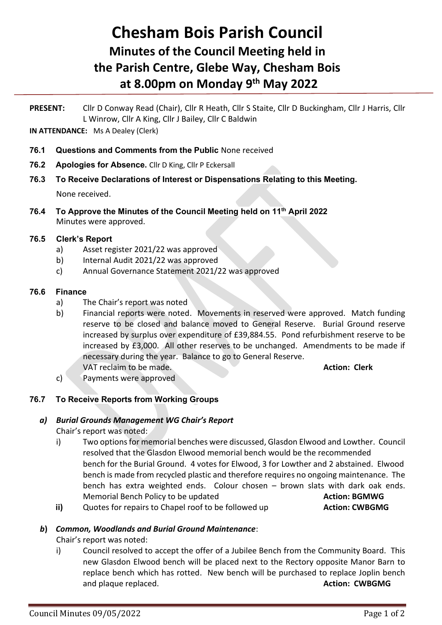# **Chesham Bois Parish Council Minutes of the Council Meeting held in the Parish Centre, Glebe Way, Chesham Bois at 8.00pm on Monday 9 th May 2022**

**PRESENT:** Cllr D Conway Read (Chair), Cllr R Heath, Cllr S Staite, Cllr D Buckingham, Cllr J Harris, Cllr L Winrow, Cllr A King, Cllr J Bailey, Cllr C Baldwin

**IN ATTENDANCE:** Ms A Dealey (Clerk)

- **76.1 Questions and Comments from the Public** None received
- **76.2 Apologies for Absence.** Cllr D King, Cllr P Eckersall
- **76.3 To Receive Declarations of Interest or Dispensations Relating to this Meeting.**

None received.

**76.4 To Approve the Minutes of the Council Meeting held on 11th April 2022** Minutes were approved.

#### **76.5 Clerk's Report**

- a) Asset register 2021/22 was approved
- b) Internal Audit 2021/22 was approved
- c) Annual Governance Statement 2021/22 was approved

#### **76.6 Finance**

- a) The Chair's report was noted
- b) Financial reports were noted. Movements in reserved were approved. Match funding reserve to be closed and balance moved to General Reserve. Burial Ground reserve increased by surplus over expenditure of £39,884.55. Pond refurbishment reserve to be increased by £3,000. All other reserves to be unchanged. Amendments to be made if necessary during the year. Balance to go to General Reserve. VAT reclaim to be made. **Action: Clerk**
- c) Payments were approved

## **76.7 To Receive Reports from Working Groups**

## *a) Burial Grounds Management WG Chair's Report*

Chair's report was noted:

- i) Two options for memorial benches were discussed, Glasdon Elwood and Lowther. Council resolved that the Glasdon Elwood memorial bench would be the recommended bench for the Burial Ground. 4 votes for Elwood, 3 for Lowther and 2 abstained. Elwood bench is made from recycled plastic and therefore requires no ongoing maintenance. The bench has extra weighted ends. Colour chosen – brown slats with dark oak ends. Memorial Bench Policy to be updated **Action: BGMWG**
- **ii)** Quotes for repairs to Chapel roof to be followed up **Action: CWBGMG**

## *b***)** *Common, Woodlands and Burial Ground Maintenance*:

Chair's report was noted:

i) Council resolved to accept the offer of a Jubilee Bench from the Community Board. This new Glasdon Elwood bench will be placed next to the Rectory opposite Manor Barn to replace bench which has rotted. New bench will be purchased to replace Joplin bench and plaque replaced. **Action: CWBGMG** and plaque replaced.